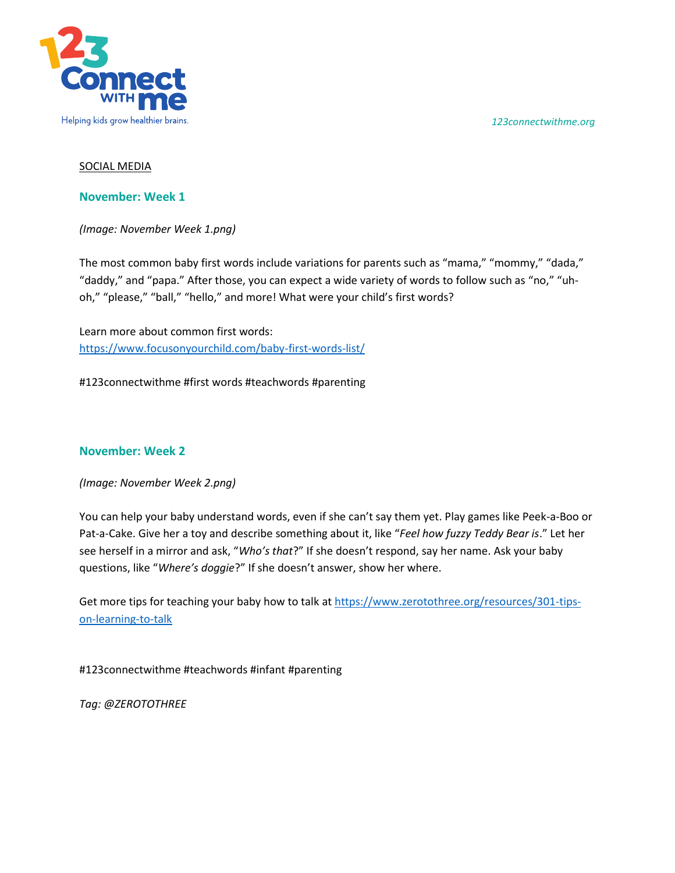*123connectwithme.org*



## SOCIAL MEDIA

## **November: Week 1**

*(Image: November Week 1.png)* 

The most common baby first words include variations for parents such as "mama," "mommy," "dada," "daddy," and "papa." After those, you can expect a wide variety of words to follow such as "no," "uhoh," "please," "ball," "hello," and more! What were your child's first words?

Learn more about common first words: <https://www.focusonyourchild.com/baby-first-words-list/>

#123connectwithme #first words #teachwords #parenting

# **November: Week 2**

*(Image: November Week 2.png)* 

You can help your baby understand words, even if she can't say them yet. Play games like Peek-a-Boo or Pat-a-Cake. Give her a toy and describe something about it, like "*Feel how fuzzy Teddy Bear is*." Let her see herself in a mirror and ask, "*Who's that*?" If she doesn't respond, say her name. Ask your baby questions, like "*Where's doggie*?" If she doesn't answer, show her where.

Get more tips for teaching your baby how to talk a[t https://www.zerotothree.org/resources/301-tips](https://www.zerotothree.org/resources/301-tips-on-learning-to-talk)[on-learning-to-talk](https://www.zerotothree.org/resources/301-tips-on-learning-to-talk)

#123connectwithme #teachwords #infant #parenting

*Tag: @ZEROTOTHREE*